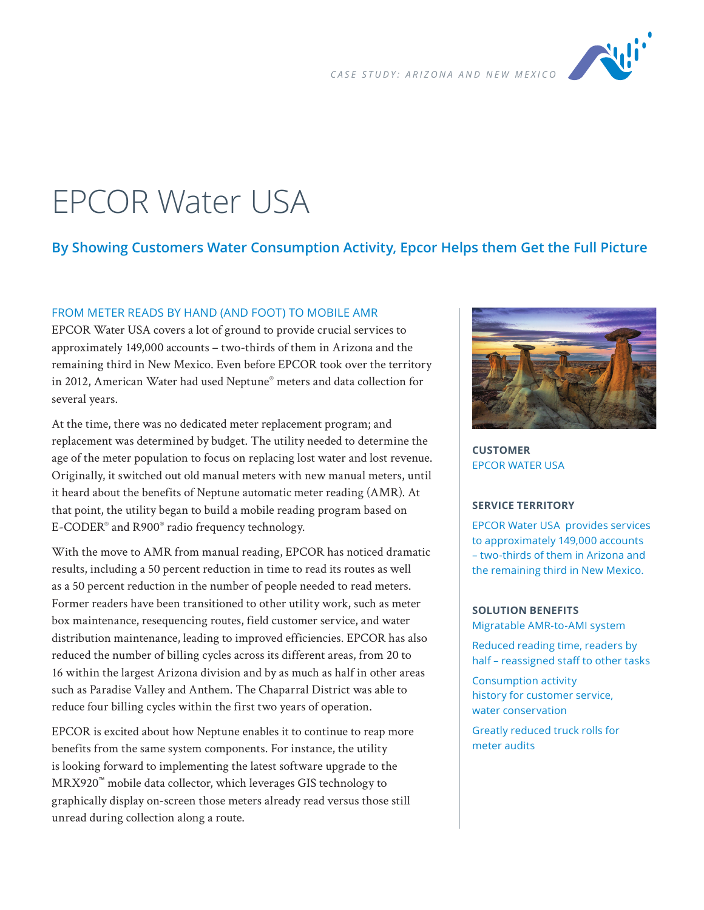

# EPCOR Water USA

# **By Showing Customers Water Consumption Activity, Epcor Helps them Get the Full Picture**

#### FROM METER READS BY HAND (AND FOOT) TO MOBILE AMR

EPCOR Water USA covers a lot of ground to provide crucial services to approximately 149,000 accounts – two-thirds of them in Arizona and the remaining third in New Mexico. Even before EPCOR took over the territory in 2012, American Water had used Neptune® meters and data collection for several years.

At the time, there was no dedicated meter replacement program; and replacement was determined by budget. The utility needed to determine the age of the meter population to focus on replacing lost water and lost revenue. Originally, it switched out old manual meters with new manual meters, until it heard about the benefits of Neptune automatic meter reading (AMR). At that point, the utility began to build a mobile reading program based on E-CODER® and R900® radio frequency technology.

With the move to AMR from manual reading, EPCOR has noticed dramatic results, including a 50 percent reduction in time to read its routes as well as a 50 percent reduction in the number of people needed to read meters. Former readers have been transitioned to other utility work, such as meter box maintenance, resequencing routes, field customer service, and water distribution maintenance, leading to improved efficiencies. EPCOR has also reduced the number of billing cycles across its different areas, from 20 to 16 within the largest Arizona division and by as much as half in other areas such as Paradise Valley and Anthem. The Chaparral District was able to reduce four billing cycles within the first two years of operation.

EPCOR is excited about how Neptune enables it to continue to reap more benefits from the same system components. For instance, the utility is looking forward to implementing the latest software upgrade to the MRX920™ mobile data collector, which leverages GIS technology to graphically display on-screen those meters already read versus those still unread during collection along a route.



**CUSTOMER** EPCOR WATER USA

#### **SERVICE TERRITORY**

EPCOR Water USA provides services to approximately 149,000 accounts – two-thirds of them in Arizona and the remaining third in New Mexico.

#### **SOLUTION BENEFITS** Migratable AMR-to-AMI system

Reduced reading time, readers by half – reassigned staff to other tasks

Consumption activity history for customer service, water conservation

Greatly reduced truck rolls for meter audits